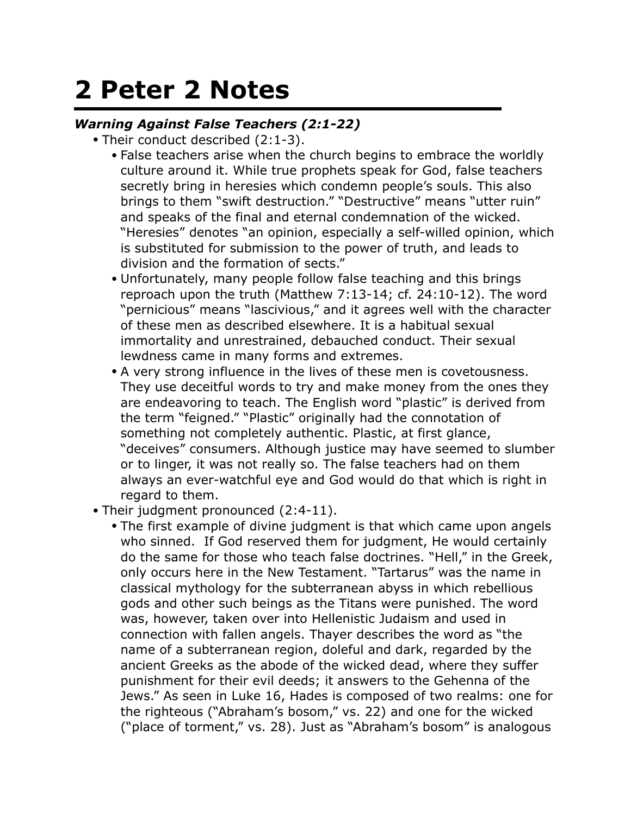## **2 Peter 2 Notes**

## *Warning Against False Teachers (2:1-22)*

- Their conduct described (2:1-3).
	- False teachers arise when the church begins to embrace the worldly culture around it. While true prophets speak for God, false teachers secretly bring in heresies which condemn people's souls. This also brings to them "swift destruction." "Destructive" means "utter ruin" and speaks of the final and eternal condemnation of the wicked. "Heresies" denotes "an opinion, especially a self-willed opinion, which is substituted for submission to the power of truth, and leads to division and the formation of sects."
	- Unfortunately, many people follow false teaching and this brings reproach upon the truth (Matthew 7:13-14; cf. 24:10-12). The word "pernicious" means "lascivious," and it agrees well with the character of these men as described elsewhere. It is a habitual sexual immortality and unrestrained, debauched conduct. Their sexual lewdness came in many forms and extremes.
	- A very strong influence in the lives of these men is covetousness. They use deceitful words to try and make money from the ones they are endeavoring to teach. The English word "plastic" is derived from the term "feigned." "Plastic" originally had the connotation of something not completely authentic. Plastic, at first glance, "deceives" consumers. Although justice may have seemed to slumber or to linger, it was not really so. The false teachers had on them always an ever-watchful eye and God would do that which is right in regard to them.
- Their judgment pronounced (2:4-11).
	- The first example of divine judgment is that which came upon angels who sinned. If God reserved them for judgment, He would certainly do the same for those who teach false doctrines. "Hell," in the Greek, only occurs here in the New Testament. "Tartarus" was the name in classical mythology for the subterranean abyss in which rebellious gods and other such beings as the Titans were punished. The word was, however, taken over into Hellenistic Judaism and used in connection with fallen angels. Thayer describes the word as "the name of a subterranean region, doleful and dark, regarded by the ancient Greeks as the abode of the wicked dead, where they suffer punishment for their evil deeds; it answers to the Gehenna of the Jews." As seen in Luke 16, Hades is composed of two realms: one for the righteous ("Abraham's bosom," vs. 22) and one for the wicked ("place of torment," vs. 28). Just as "Abraham's bosom" is analogous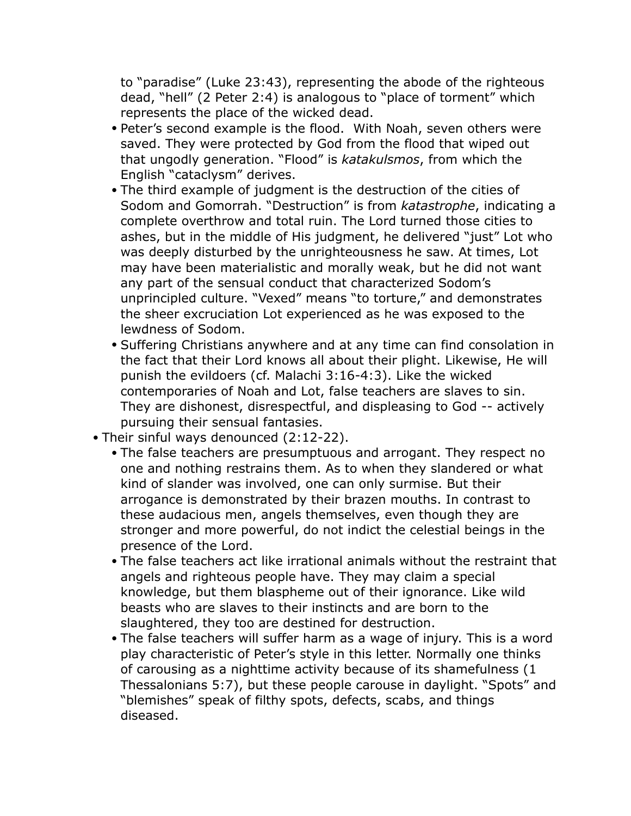to "paradise" (Luke 23:43), representing the abode of the righteous dead, "hell" (2 Peter 2:4) is analogous to "place of torment" which represents the place of the wicked dead.

- Peter's second example is the flood. With Noah, seven others were saved. They were protected by God from the flood that wiped out that ungodly generation. "Flood" is *katakulsmos*, from which the English "cataclysm" derives.
- The third example of judgment is the destruction of the cities of Sodom and Gomorrah. "Destruction" is from *katastrophe*, indicating a complete overthrow and total ruin. The Lord turned those cities to ashes, but in the middle of His judgment, he delivered "just" Lot who was deeply disturbed by the unrighteousness he saw. At times, Lot may have been materialistic and morally weak, but he did not want any part of the sensual conduct that characterized Sodom's unprincipled culture. "Vexed" means "to torture," and demonstrates the sheer excruciation Lot experienced as he was exposed to the lewdness of Sodom.
- Suffering Christians anywhere and at any time can find consolation in the fact that their Lord knows all about their plight. Likewise, He will punish the evildoers (cf. Malachi 3:16-4:3). Like the wicked contemporaries of Noah and Lot, false teachers are slaves to sin. They are dishonest, disrespectful, and displeasing to God -- actively pursuing their sensual fantasies.
- Their sinful ways denounced (2:12-22).
	- The false teachers are presumptuous and arrogant. They respect no one and nothing restrains them. As to when they slandered or what kind of slander was involved, one can only surmise. But their arrogance is demonstrated by their brazen mouths. In contrast to these audacious men, angels themselves, even though they are stronger and more powerful, do not indict the celestial beings in the presence of the Lord.
	- The false teachers act like irrational animals without the restraint that angels and righteous people have. They may claim a special knowledge, but them blaspheme out of their ignorance. Like wild beasts who are slaves to their instincts and are born to the slaughtered, they too are destined for destruction.
	- The false teachers will suffer harm as a wage of injury. This is a word play characteristic of Peter's style in this letter. Normally one thinks of carousing as a nighttime activity because of its shamefulness (1 Thessalonians 5:7), but these people carouse in daylight. "Spots" and "blemishes" speak of filthy spots, defects, scabs, and things diseased.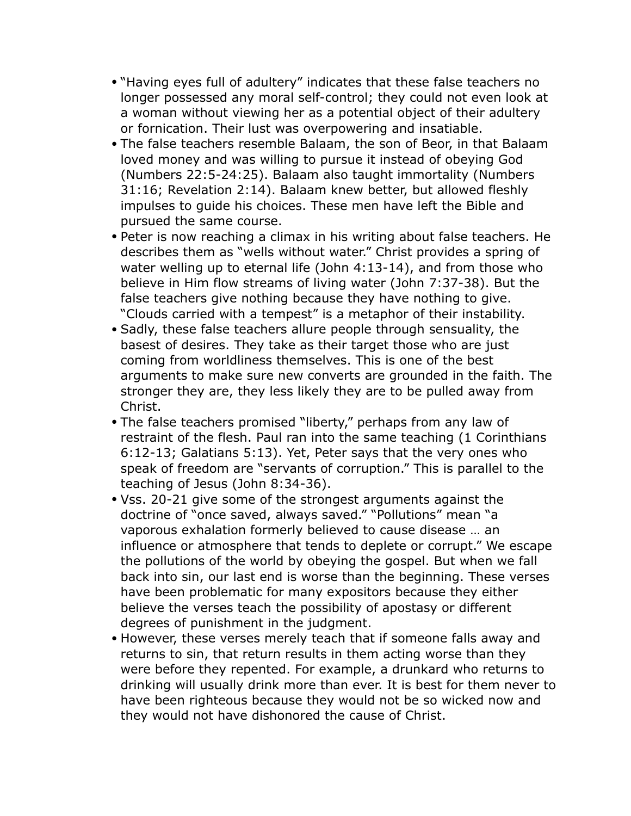- "Having eyes full of adultery" indicates that these false teachers no longer possessed any moral self-control; they could not even look at a woman without viewing her as a potential object of their adultery or fornication. Their lust was overpowering and insatiable.
- The false teachers resemble Balaam, the son of Beor, in that Balaam loved money and was willing to pursue it instead of obeying God (Numbers 22:5-24:25). Balaam also taught immortality (Numbers 31:16; Revelation 2:14). Balaam knew better, but allowed fleshly impulses to guide his choices. These men have left the Bible and pursued the same course.
- Peter is now reaching a climax in his writing about false teachers. He describes them as "wells without water." Christ provides a spring of water welling up to eternal life (John 4:13-14), and from those who believe in Him flow streams of living water (John 7:37-38). But the false teachers give nothing because they have nothing to give. "Clouds carried with a tempest" is a metaphor of their instability.
- Sadly, these false teachers allure people through sensuality, the basest of desires. They take as their target those who are just coming from worldliness themselves. This is one of the best arguments to make sure new converts are grounded in the faith. The stronger they are, they less likely they are to be pulled away from Christ.
- The false teachers promised "liberty," perhaps from any law of restraint of the flesh. Paul ran into the same teaching (1 Corinthians 6:12-13; Galatians 5:13). Yet, Peter says that the very ones who speak of freedom are "servants of corruption." This is parallel to the teaching of Jesus (John 8:34-36).
- Vss. 20-21 give some of the strongest arguments against the doctrine of "once saved, always saved." "Pollutions" mean "a vaporous exhalation formerly believed to cause disease … an influence or atmosphere that tends to deplete or corrupt." We escape the pollutions of the world by obeying the gospel. But when we fall back into sin, our last end is worse than the beginning. These verses have been problematic for many expositors because they either believe the verses teach the possibility of apostasy or different degrees of punishment in the judgment.
- However, these verses merely teach that if someone falls away and returns to sin, that return results in them acting worse than they were before they repented. For example, a drunkard who returns to drinking will usually drink more than ever. It is best for them never to have been righteous because they would not be so wicked now and they would not have dishonored the cause of Christ.